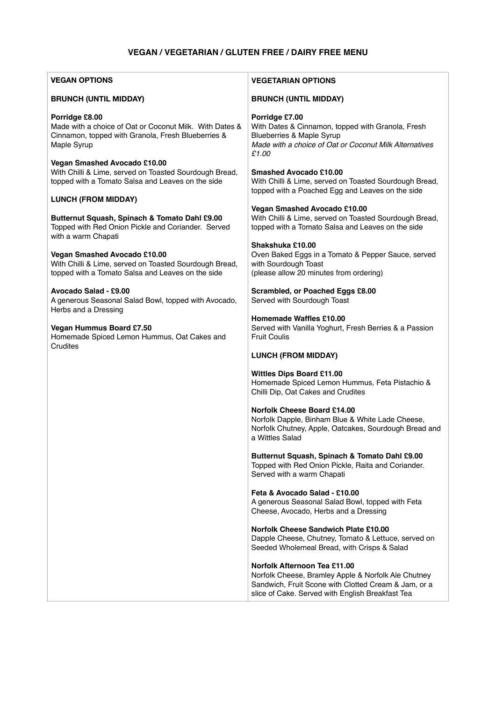## **VEGAN / VEGETARIAN / GLUTEN FREE / DAIRY FREE MENU**

| <b>VEGAN OPTIONS</b>                                                                                                                               | <b>VEGETARIAN OPTIONS</b>                                                                                                                                                                              |
|----------------------------------------------------------------------------------------------------------------------------------------------------|--------------------------------------------------------------------------------------------------------------------------------------------------------------------------------------------------------|
| <b>BRUNCH (UNTIL MIDDAY)</b>                                                                                                                       | <b>BRUNCH (UNTIL MIDDAY)</b>                                                                                                                                                                           |
| Porridge £8.00<br>Made with a choice of Oat or Coconut Milk. With Dates &<br>Cinnamon, topped with Granola, Fresh Blueberries &<br>Maple Syrup     | Porridge £7.00<br>With Dates & Cinnamon, topped with Granola, Fresh<br><b>Blueberries &amp; Maple Syrup</b><br>Made with a choice of Oat or Coconut Milk Alternatives<br>£1.00                         |
| <b>Vegan Smashed Avocado £10.00</b><br>With Chilli & Lime, served on Toasted Sourdough Bread,<br>topped with a Tomato Salsa and Leaves on the side | <b>Smashed Avocado £10.00</b><br>With Chilli & Lime, served on Toasted Sourdough Bread,<br>topped with a Poached Egg and Leaves on the side                                                            |
| <b>LUNCH (FROM MIDDAY)</b>                                                                                                                         |                                                                                                                                                                                                        |
| Butternut Squash, Spinach & Tomato Dahl £9.00<br>Topped with Red Onion Pickle and Coriander. Served<br>with a warm Chapati                         | <b>Vegan Smashed Avocado £10.00</b><br>With Chilli & Lime, served on Toasted Sourdough Bread,<br>topped with a Tomato Salsa and Leaves on the side                                                     |
| <b>Vegan Smashed Avocado £10.00</b><br>With Chilli & Lime, served on Toasted Sourdough Bread,<br>topped with a Tomato Salsa and Leaves on the side | Shakshuka £10.00<br>Oven Baked Eggs in a Tomato & Pepper Sauce, served<br>with Sourdough Toast<br>(please allow 20 minutes from ordering)                                                              |
| <b>Avocado Salad - £9.00</b><br>A generous Seasonal Salad Bowl, topped with Avocado,<br>Herbs and a Dressing                                       | Scrambled, or Poached Eggs £8.00<br>Served with Sourdough Toast                                                                                                                                        |
| Vegan Hummus Board £7.50<br>Homemade Spiced Lemon Hummus, Oat Cakes and<br>Crudites                                                                | Homemade Waffles £10.00<br>Served with Vanilla Yoghurt, Fresh Berries & a Passion<br><b>Fruit Coulis</b>                                                                                               |
|                                                                                                                                                    | <b>LUNCH (FROM MIDDAY)</b>                                                                                                                                                                             |
|                                                                                                                                                    | <b>Wittles Dips Board £11.00</b><br>Homemade Spiced Lemon Hummus, Feta Pistachio &<br>Chilli Dip, Oat Cakes and Crudites                                                                               |
|                                                                                                                                                    | <b>Norfolk Cheese Board £14.00</b><br>Norfolk Dapple, Binham Blue & White Lade Cheese,<br>Norfolk Chutney, Apple, Oatcakes, Sourdough Bread and<br>a Wittles Salad                                     |
|                                                                                                                                                    | Butternut Squash, Spinach & Tomato Dahl £9.00<br>Topped with Red Onion Pickle, Raita and Coriander.<br>Served with a warm Chapati                                                                      |
|                                                                                                                                                    | Feta & Avocado Salad - £10.00<br>A generous Seasonal Salad Bowl, topped with Feta<br>Cheese, Avocado, Herbs and a Dressing                                                                             |
|                                                                                                                                                    | Norfolk Cheese Sandwich Plate £10.00<br>Dapple Cheese, Chutney, Tomato & Lettuce, served on<br>Seeded Wholemeal Bread, with Crisps & Salad                                                             |
|                                                                                                                                                    | <b>Norfolk Afternoon Tea £11.00</b><br>Norfolk Cheese, Bramley Apple & Norfolk Ale Chutney<br>Sandwich, Fruit Scone with Clotted Cream & Jam, or a<br>slice of Cake. Served with English Breakfast Tea |